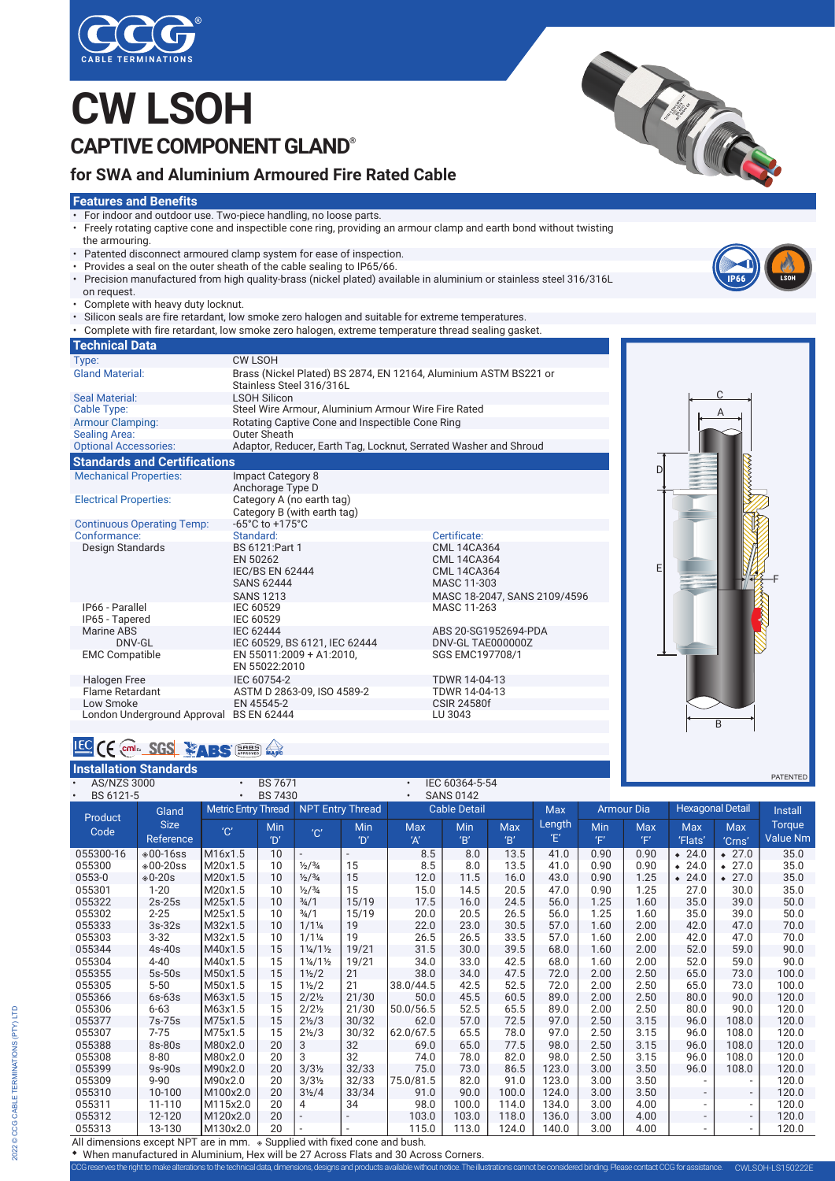

## **CW LSOH CAPTIVE COMPONENT GLAND®**

### **for SWA and Aluminium Armoured Fire Rated Cable**

#### **Features and Benefits**

- For indoor and outdoor use. Two-piece handling, no loose parts.
- Freely rotating captive cone and inspectible cone ring, providing an armour clamp and earth bond without twisting the armouring.
- Patented disconnect armoured clamp system for ease of inspection.
- Provides a seal on the outer sheath of the cable sealing to IP65/66.
- Precision manufactured from high quality-brass (nickel plated) available in aluminium or stainless steel 316/316L on request.
- Complete with heavy duty locknut.
- Silicon seals are fire retardant, low smoke zero halogen and suitable for extreme temperatures.
- Complete with fire retardant, low smoke zero halogen, extreme temperature thread sealing gasket.

| <b>Technical Data</b>                                |                                                                                                |                                                                                                               |  |  |  |  |  |  |
|------------------------------------------------------|------------------------------------------------------------------------------------------------|---------------------------------------------------------------------------------------------------------------|--|--|--|--|--|--|
| Type:                                                | <b>CW LSOH</b>                                                                                 |                                                                                                               |  |  |  |  |  |  |
| <b>Gland Material:</b>                               | Brass (Nickel Plated) BS 2874, EN 12164, Aluminium ASTM BS221 or<br>Stainless Steel 316/316L   |                                                                                                               |  |  |  |  |  |  |
| Seal Material:                                       | <b>LSOH Silicon</b>                                                                            |                                                                                                               |  |  |  |  |  |  |
| Cable Type:                                          | Steel Wire Armour, Aluminium Armour Wire Fire Rated                                            |                                                                                                               |  |  |  |  |  |  |
| <b>Armour Clamping:</b>                              | Rotating Captive Cone and Inspectible Cone Ring                                                |                                                                                                               |  |  |  |  |  |  |
| <b>Sealing Area:</b>                                 | Outer Sheath                                                                                   |                                                                                                               |  |  |  |  |  |  |
| <b>Optional Accessories:</b>                         | Adaptor, Reducer, Earth Tag, Locknut, Serrated Washer and Shroud                               |                                                                                                               |  |  |  |  |  |  |
| <b>Standards and Certifications</b>                  |                                                                                                |                                                                                                               |  |  |  |  |  |  |
| <b>Mechanical Properties:</b>                        | <b>Impact Category 8</b><br>Anchorage Type D                                                   |                                                                                                               |  |  |  |  |  |  |
| <b>Electrical Properties:</b>                        | Category A (no earth tag)<br>Category B (with earth tag)                                       |                                                                                                               |  |  |  |  |  |  |
| <b>Continuous Operating Temp:</b>                    | $-65^{\circ}$ C to $+175^{\circ}$ C                                                            |                                                                                                               |  |  |  |  |  |  |
| Conformance:                                         | Standard:                                                                                      | Certificate:                                                                                                  |  |  |  |  |  |  |
| Design Standards                                     | BS 6121: Part 1<br>EN 50262<br><b>IEC/BS EN 62444</b><br><b>SANS 62444</b><br><b>SANS 1213</b> | <b>CML 14CA364</b><br><b>CML 14CA364</b><br><b>CML 14CA364</b><br>MASC 11-303<br>MASC 18-2047, SANS 2109/4596 |  |  |  |  |  |  |
| IP66 - Parallel<br>IP65 - Tapered                    | IEC 60529<br>IEC 60529                                                                         | MASC 11-263                                                                                                   |  |  |  |  |  |  |
| Marine ABS<br>DNV-GL                                 | <b>IEC 62444</b><br>IEC 60529, BS 6121, IEC 62444                                              | ABS 20-SG1952694-PDA<br>DNV-GL TAE000000Z                                                                     |  |  |  |  |  |  |
| <b>EMC Compatible</b>                                | EN 55011:2009 + A1:2010.<br>EN 55022:2010                                                      | SGS EMC197708/1                                                                                               |  |  |  |  |  |  |
| <b>Halogen Free</b>                                  | IEC 60754-2                                                                                    | TDWR 14-04-13                                                                                                 |  |  |  |  |  |  |
| Flame Retardant                                      | ASTM D 2863-09, ISO 4589-2                                                                     | TDWR 14-04-13                                                                                                 |  |  |  |  |  |  |
| Low Smoke<br>London Underground Approval BS EN 62444 | EN 45545-2                                                                                     | <b>CSIR 24580f</b><br>LU 3043                                                                                 |  |  |  |  |  |  |

# D E A C B F

### **IEC** CE COME: SGS **EABS** ENTERTS MAKE

| <b>Installation Standards</b>                                                          |                                                                          |                            |                |                                 |       |            |                     |            |            |                   |      |                         |                          | <b>PATENTED</b> |
|----------------------------------------------------------------------------------------|--------------------------------------------------------------------------|----------------------------|----------------|---------------------------------|-------|------------|---------------------|------------|------------|-------------------|------|-------------------------|--------------------------|-----------------|
| <b>AS/NZS 3000</b><br>$\bullet$                                                        |                                                                          | $\bullet$                  | <b>BS 7671</b> |                                 |       |            | IEC 60364-5-54      |            |            |                   |      |                         |                          |                 |
| BS 6121-5<br><b>BS 7430</b><br><b>SANS 0142</b><br>$\bullet$<br>$\bullet$<br>$\bullet$ |                                                                          |                            |                |                                 |       |            |                     |            |            |                   |      |                         |                          |                 |
| Product                                                                                | Gland                                                                    | <b>Metric Entry Thread</b> |                | <b>NPT Entry Thread</b>         |       |            | <b>Cable Detail</b> |            | <b>Max</b> | <b>Armour Dia</b> |      | <b>Hexagonal Detail</b> |                          | <b>Install</b>  |
| Code                                                                                   | <b>Size</b>                                                              | $^{\prime}$ C              | Min            | $^{\prime}$ C $^{\prime}$       | Min   | <b>Max</b> | Min                 | <b>Max</b> | Length     | Min               | Max  | <b>Max</b>              | <b>Max</b>               | Torque          |
|                                                                                        | Reference                                                                |                            | 'D'            |                                 | 'D'   | 'A'        | B'                  | B'         | Έ          | 'F'               | Έ,   | 'Flats'                 | 'Crns'                   | <b>Value Nm</b> |
| 055300-16                                                                              | $*00 - 16$ ss                                                            | M16x1.5                    | 10             |                                 |       | 8.5        | 8.0                 | 13.5       | 41.0       | 0.90              | 0.90 | $* 24.0$                | $\div$ 27.0              | 35.0            |
| 055300                                                                                 | $*00 - 20$ ss                                                            | M20x1.5                    | 10             | $\frac{1}{2}$ / $\frac{3}{4}$   | 15    | 8.5        | 8.0                 | 13.5       | 41.0       | 0.90              | 0.90 | $\div$ 24.0             | $* 27.0$                 | 35.0            |
| 0553-0                                                                                 | $*0-20s$                                                                 | M20x1.5                    | 10             | $\frac{1}{2}$ / $\frac{3}{4}$   | 15    | 12.0       | 11.5                | 16.0       | 43.0       | 0.90              | 1.25 | $* 24.0$                | $* 27.0$                 | 35.0            |
| 055301                                                                                 | $1 - 20$                                                                 | M20x1.5                    | 10             | $\frac{1}{2}$ / $\frac{3}{4}$   | 15    | 15.0       | 14.5                | 20.5       | 47.0       | 0.90              | 1.25 | 27.0                    | 30.0                     | 35.0            |
| 055322                                                                                 | $2s-25s$                                                                 | M25x1.5                    | 10             | $\frac{3}{4}$ /1                | 15/19 | 17.5       | 16.0                | 24.5       | 56.0       | 1.25              | 1.60 | 35.0                    | 39.0                     | 50.0            |
| 055302                                                                                 | $2 - 25$                                                                 | M25x1.5                    | 10             | $\frac{3}{4}$ /1                | 15/19 | 20.0       | 20.5                | 26.5       | 56.0       | 1.25              | 1.60 | 35.0                    | 39.0                     | 50.0            |
| 055333                                                                                 | $3s-32s$                                                                 | M32x1.5                    | 10             | $1/1\frac{1}{4}$                | 19    | 22.0       | 23.0                | 30.5       | 57.0       | 1.60              | 2.00 | 42.0                    | 47.0                     | 70.0            |
| 055303                                                                                 | $3 - 32$                                                                 | M32x1.5                    | 10             | $1/1\frac{1}{4}$                | 19    | 26.5       | 26.5                | 33.5       | 57.0       | 1.60              | 2.00 | 42.0                    | 47.0                     | 70.0            |
| 055344                                                                                 | $4s-40s$                                                                 | M40x1.5                    | 15             | $1\frac{1}{4}$ /1 $\frac{1}{2}$ | 19/21 | 31.5       | 30.0                | 39.5       | 68.0       | 1.60              | 2.00 | 52.0                    | 59.0                     | 90.0            |
| 055304                                                                                 | $4 - 40$                                                                 | M40x1.5                    | 15             | $1\frac{1}{4}$ /1 $\frac{1}{2}$ | 19/21 | 34.0       | 33.0                | 42.5       | 68.0       | 1.60              | 2.00 | 52.0                    | 59.0                     | 90.0            |
| 055355                                                                                 | $5s-50s$                                                                 | M50x1.5                    | 15             | $1\frac{1}{2}$                  | 21    | 38.0       | 34.0                | 47.5       | 72.0       | 2.00              | 2.50 | 65.0                    | 73.0                     | 100.0           |
| 055305                                                                                 | $5 - 50$                                                                 | M50x1.5                    | 15             | $1\frac{1}{2}$                  | 21    | 38.0/44.5  | 42.5                | 52.5       | 72.0       | 2.00              | 2.50 | 65.0                    | 73.0                     | 100.0           |
| 055366                                                                                 | 6s-63s                                                                   | M63x1.5                    | 15             | $2/2\frac{1}{2}$                | 21/30 | 50.0       | 45.5                | 60.5       | 89.0       | 2.00              | 2.50 | 80.0                    | 90.0                     | 120.0           |
| 055306                                                                                 | $6 - 63$                                                                 | M63x1.5                    | 15             | $2/2\frac{1}{2}$                | 21/30 | 50.0/56.5  | 52.5                | 65.5       | 89.0       | 2.00              | 2.50 | 80.0                    | 90.0                     | 120.0           |
| 055377                                                                                 | 7s-75s                                                                   | M75x1.5                    | 15             | $2\frac{1}{2}$                  | 30/32 | 62.0       | 57.0                | 72.5       | 97.0       | 2.50              | 3.15 | 96.0                    | 108.0                    | 120.0           |
| 055307                                                                                 | $7 - 75$                                                                 | M75x1.5                    | 15             | $2\frac{1}{2}$ /3               | 30/32 | 62.0/67.5  | 65.5                | 78.0       | 97.0       | 2.50              | 3.15 | 96.0                    | 108.0                    | 120.0           |
| 055388                                                                                 | 8s-80s                                                                   | M80x2.0                    | 20             | 3                               | 32    | 69.0       | 65.0                | 77.5       | 98.0       | 2.50              | 3.15 | 96.0                    | 108.0                    | 120.0           |
| 055308                                                                                 | $8 - 80$                                                                 | M80x2.0                    | 20             | 3                               | 32    | 74.0       | 78.0                | 82.0       | 98.0       | 2.50              | 3.15 | 96.0                    | 108.0                    | 120.0           |
| 055399                                                                                 | 9s-90s                                                                   | M90x2.0                    | 20             | $3/3\frac{1}{2}$                | 32/33 | 75.0       | 73.0                | 86.5       | 123.0      | 3.00              | 3.50 | 96.0                    | 108.0                    | 120.0           |
| 055309                                                                                 | $9 - 90$                                                                 | M90x2.0                    | 20             | $3/3\frac{1}{2}$                | 32/33 | 75.0/81.5  | 82.0                | 91.0       | 123.0      | 3.00              | 3.50 |                         | $\sim$                   | 120.0           |
| 055310                                                                                 | 10-100                                                                   | M100x2.0                   | 20             | $3\frac{1}{2}$ /4               | 33/34 | 91.0       | 90.0                | 100.0      | 124.0      | 3.00              | 3.50 |                         | $\overline{\phantom{0}}$ | 120.0           |
| 055311                                                                                 | 11-110                                                                   | M115x2.0                   | 20             | 4                               | 34    | 98.0       | 100.0               | 114.0      | 134.0      | 3.00              | 4.00 |                         | $\overline{\phantom{a}}$ | 120.0           |
| 055312                                                                                 | 12-120                                                                   | M120x2.0                   | 20             |                                 |       | 103.0      | 103.0               | 118.0      | 136.0      | 3.00              | 4.00 |                         | $\frac{1}{2}$            | 120.0           |
| 055313                                                                                 | 13-130                                                                   | M130x2.0                   | 20             |                                 |       | 115.0      | 113.0               | 124.0      | 140.0      | 3.00              | 4.00 |                         | $\overline{\phantom{0}}$ | 120.0           |
|                                                                                        | All dimensions avecant NDT are in mm . Cunnlied with fived cans and bush |                            |                |                                 |       |            |                     |            |            |                   |      |                         |                          |                 |

All dimensions except NPT are in mm.  $\bullet$  Supplied with fixed cone and bush. When manufactured in Aluminium, Hex will be 27 Across Flats and 30 Across Corners.

CCG reserves the right to make alterations to the technical data, dimensions, designs and products available without notice. The illustrations cannot be considered binding. Please contact CCG for assistance. CWLSOH-LS15022